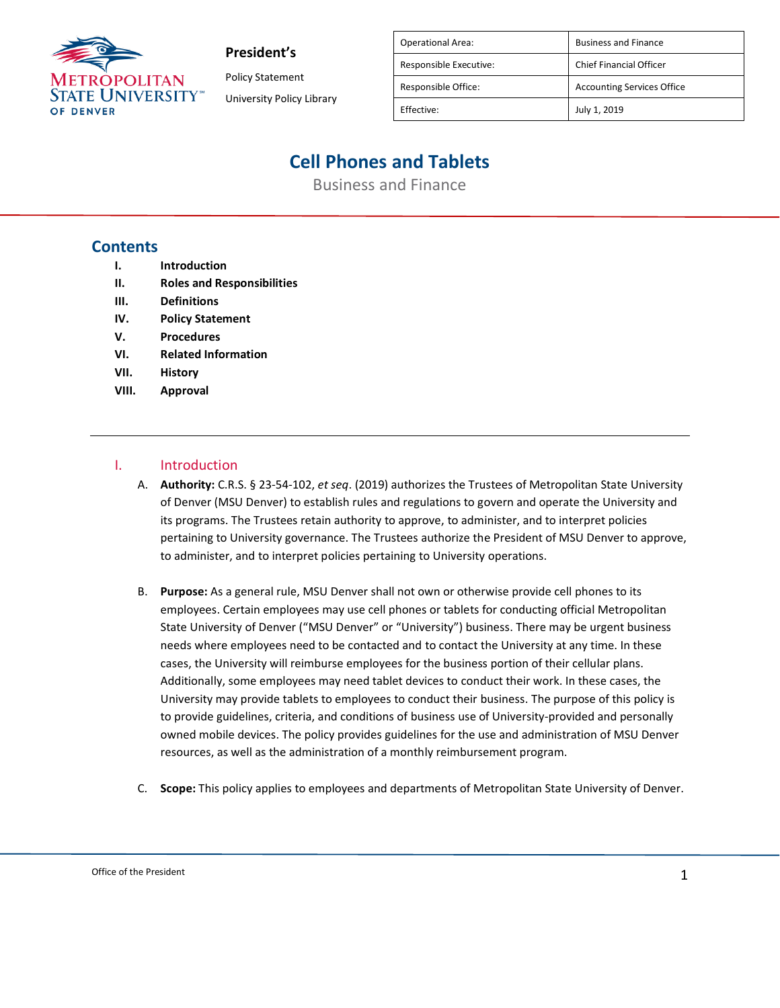

Policy Statement University Policy Library

| <b>Operational Area:</b> | <b>Business and Finance</b>       |
|--------------------------|-----------------------------------|
| Responsible Executive:   | <b>Chief Financial Officer</b>    |
| Responsible Office:      | <b>Accounting Services Office</b> |
| Effective:               | July 1, 2019                      |
|                          |                                   |

# **Cell Phones and Tablets**

Business and Finance

## **Contents**

- **I. Introduction**
- **II. Roles and Responsibilities**
- **III. Definitions**
- **IV. Policy Statement**
- **V. Procedures**
- **VI. Related Information**
- **VII. History**
- **VIII. Approval**

## I. Introduction

- A. **Authority:** C.R.S. § 23-54-102, *et seq*. (2019) authorizes the Trustees of Metropolitan State University of Denver (MSU Denver) to establish rules and regulations to govern and operate the University and its programs. The Trustees retain authority to approve, to administer, and to interpret policies pertaining to University governance. The Trustees authorize the President of MSU Denver to approve, to administer, and to interpret policies pertaining to University operations.
- B. **Purpose:** As a general rule, MSU Denver shall not own or otherwise provide cell phones to its employees. Certain employees may use cell phones or tablets for conducting official Metropolitan State University of Denver ("MSU Denver" or "University") business. There may be urgent business needs where employees need to be contacted and to contact the University at any time. In these cases, the University will reimburse employees for the business portion of their cellular plans. Additionally, some employees may need tablet devices to conduct their work. In these cases, the University may provide tablets to employees to conduct their business. The purpose of this policy is to provide guidelines, criteria, and conditions of business use of University-provided and personally owned mobile devices. The policy provides guidelines for the use and administration of MSU Denver resources, as well as the administration of a monthly reimbursement program.
- C. **Scope:** This policy applies to employees and departments of Metropolitan State University of Denver.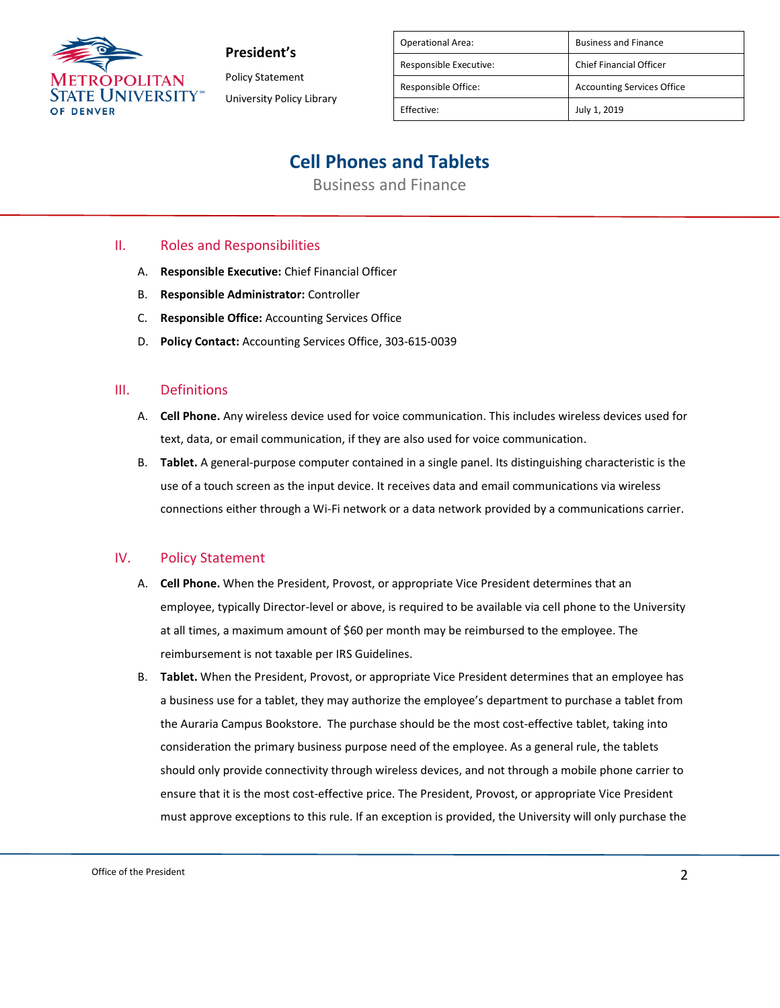

Policy Statement University Policy Library

| <b>Operational Area:</b> | <b>Business and Finance</b>       |
|--------------------------|-----------------------------------|
| Responsible Executive:   | <b>Chief Financial Officer</b>    |
| Responsible Office:      | <b>Accounting Services Office</b> |
| Effective:               | July 1, 2019                      |

## **Cell Phones and Tablets**

Business and Finance

## II. Roles and Responsibilities

- A. **Responsible Executive:** Chief Financial Officer
- B. **Responsible Administrator:** Controller
- C. **Responsible Office:** Accounting Services Office
- D. **Policy Contact:** Accounting Services Office, 303-615-0039

#### III. Definitions

- A. **Cell Phone.** Any wireless device used for voice communication. This includes wireless devices used for text, data, or email communication, if they are also used for voice communication.
- B. **Tablet.** A general-purpose computer contained in a single panel. Its distinguishing characteristic is the use of a touch screen as the input device. It receives data and email communications via wireless connections either through a Wi-Fi network or a data network provided by a communications carrier.

#### IV. Policy Statement

- A. **Cell Phone.** When the President, Provost, or appropriate Vice President determines that an employee, typically Director-level or above, is required to be available via cell phone to the University at all times, a maximum amount of \$60 per month may be reimbursed to the employee. The reimbursement is not taxable per IRS Guidelines.
- B. **Tablet.** When the President, Provost, or appropriate Vice President determines that an employee has a business use for a tablet, they may authorize the employee's department to purchase a tablet from the Auraria Campus Bookstore. The purchase should be the most cost-effective tablet, taking into consideration the primary business purpose need of the employee. As a general rule, the tablets should only provide connectivity through wireless devices, and not through a mobile phone carrier to ensure that it is the most cost-effective price. The President, Provost, or appropriate Vice President must approve exceptions to this rule. If an exception is provided, the University will only purchase the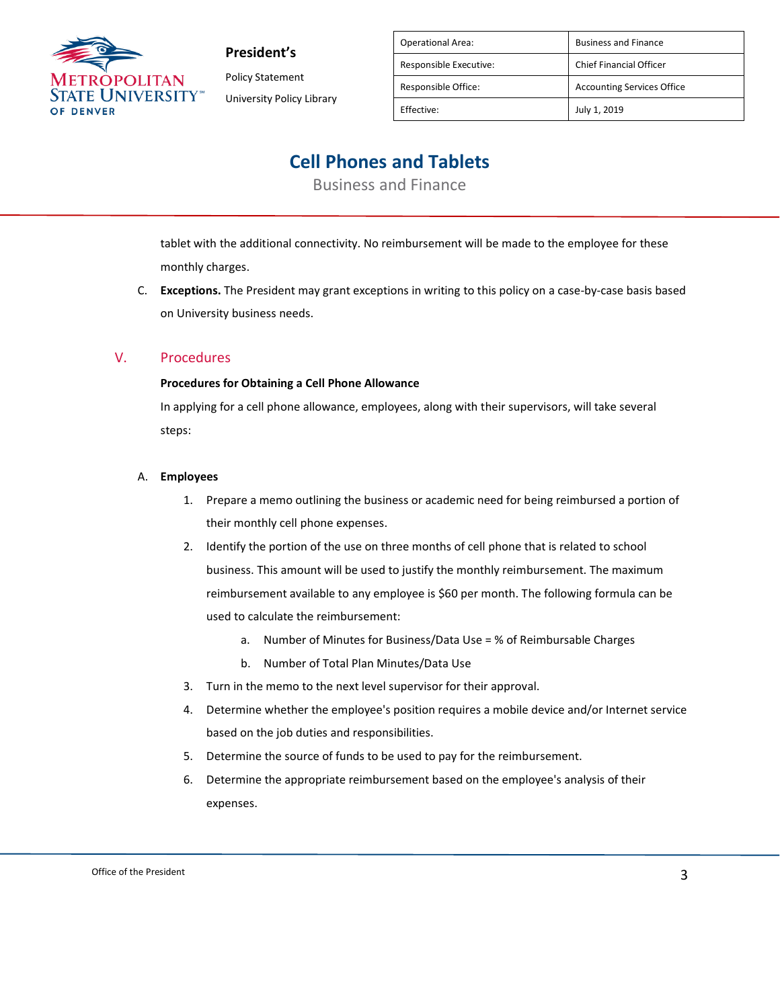

Policy Statement University Policy Library

| <b>Operational Area:</b> | <b>Business and Finance</b>       |
|--------------------------|-----------------------------------|
| Responsible Executive:   | <b>Chief Financial Officer</b>    |
| Responsible Office:      | <b>Accounting Services Office</b> |
| Effective:               | July 1, 2019                      |

## **Cell Phones and Tablets**

Business and Finance

tablet with the additional connectivity. No reimbursement will be made to the employee for these monthly charges.

C. **Exceptions.** The President may grant exceptions in writing to this policy on a case-by-case basis based on University business needs.

## V. Procedures

### **Procedures for Obtaining a Cell Phone Allowance**

In applying for a cell phone allowance, employees, along with their supervisors, will take several steps:

### A. **Employees**

- 1. Prepare a memo outlining the business or academic need for being reimbursed a portion of their monthly cell phone expenses.
- 2. Identify the portion of the use on three months of cell phone that is related to school business. This amount will be used to justify the monthly reimbursement. The maximum reimbursement available to any employee is \$60 per month. The following formula can be used to calculate the reimbursement:
	- a. Number of Minutes for Business/Data Use = % of Reimbursable Charges
	- b. Number of Total Plan Minutes/Data Use
- 3. Turn in the memo to the next level supervisor for their approval.
- 4. Determine whether the employee's position requires a mobile device and/or Internet service based on the job duties and responsibilities.
- 5. Determine the source of funds to be used to pay for the reimbursement.
- 6. Determine the appropriate reimbursement based on the employee's analysis of their expenses.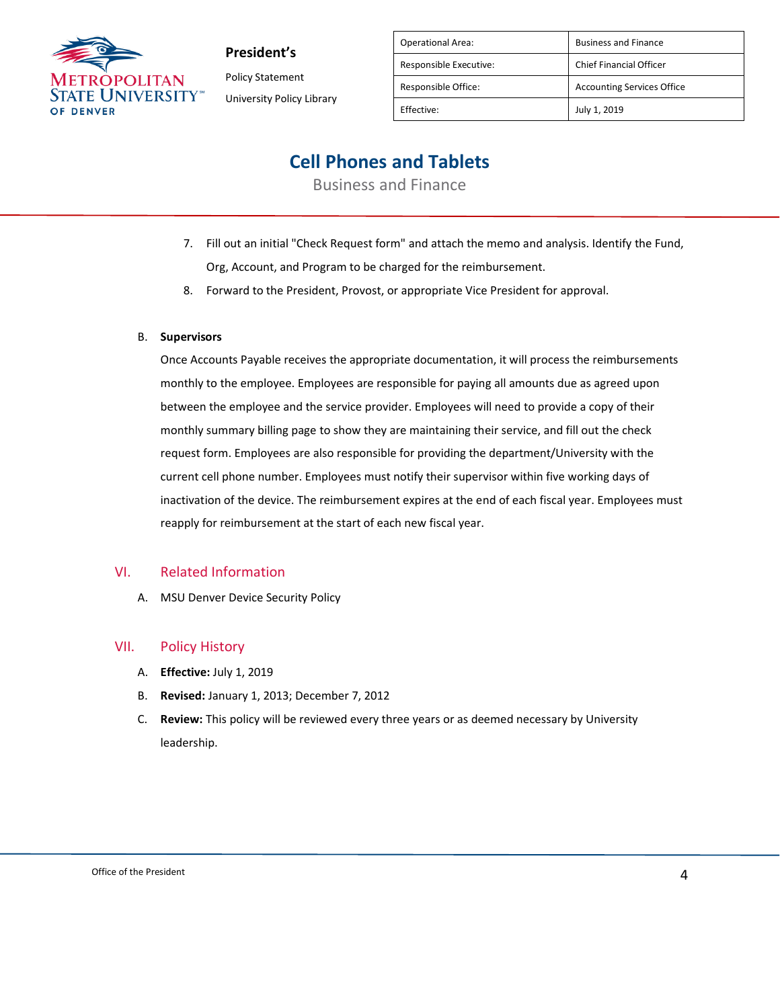

**President's** Policy Statement

University Policy Library

| <b>Operational Area:</b> | <b>Business and Finance</b>       |
|--------------------------|-----------------------------------|
| Responsible Executive:   | <b>Chief Financial Officer</b>    |
| Responsible Office:      | <b>Accounting Services Office</b> |
| Effective:               | July 1, 2019                      |

## **Cell Phones and Tablets**

Business and Finance

- 7. Fill out an initial "Check Request form" and attach the memo and analysis. Identify the Fund, Org, Account, and Program to be charged for the reimbursement.
- 8. Forward to the President, Provost, or appropriate Vice President for approval.

### B. **Supervisors**

Once Accounts Payable receives the appropriate documentation, it will process the reimbursements monthly to the employee. Employees are responsible for paying all amounts due as agreed upon between the employee and the service provider. Employees will need to provide a copy of their monthly summary billing page to show they are maintaining their service, and fill out the check request form. Employees are also responsible for providing the department/University with the current cell phone number. Employees must notify their supervisor within five working days of inactivation of the device. The reimbursement expires at the end of each fiscal year. Employees must reapply for reimbursement at the start of each new fiscal year.

### VI. Related Information

A. MSU Denver Device Security Policy

### VII. Policy History

- A. **Effective:** July 1, 2019
- B. **Revised:** January 1, 2013; December 7, 2012
- C. **Review:** This policy will be reviewed every three years or as deemed necessary by University leadership.